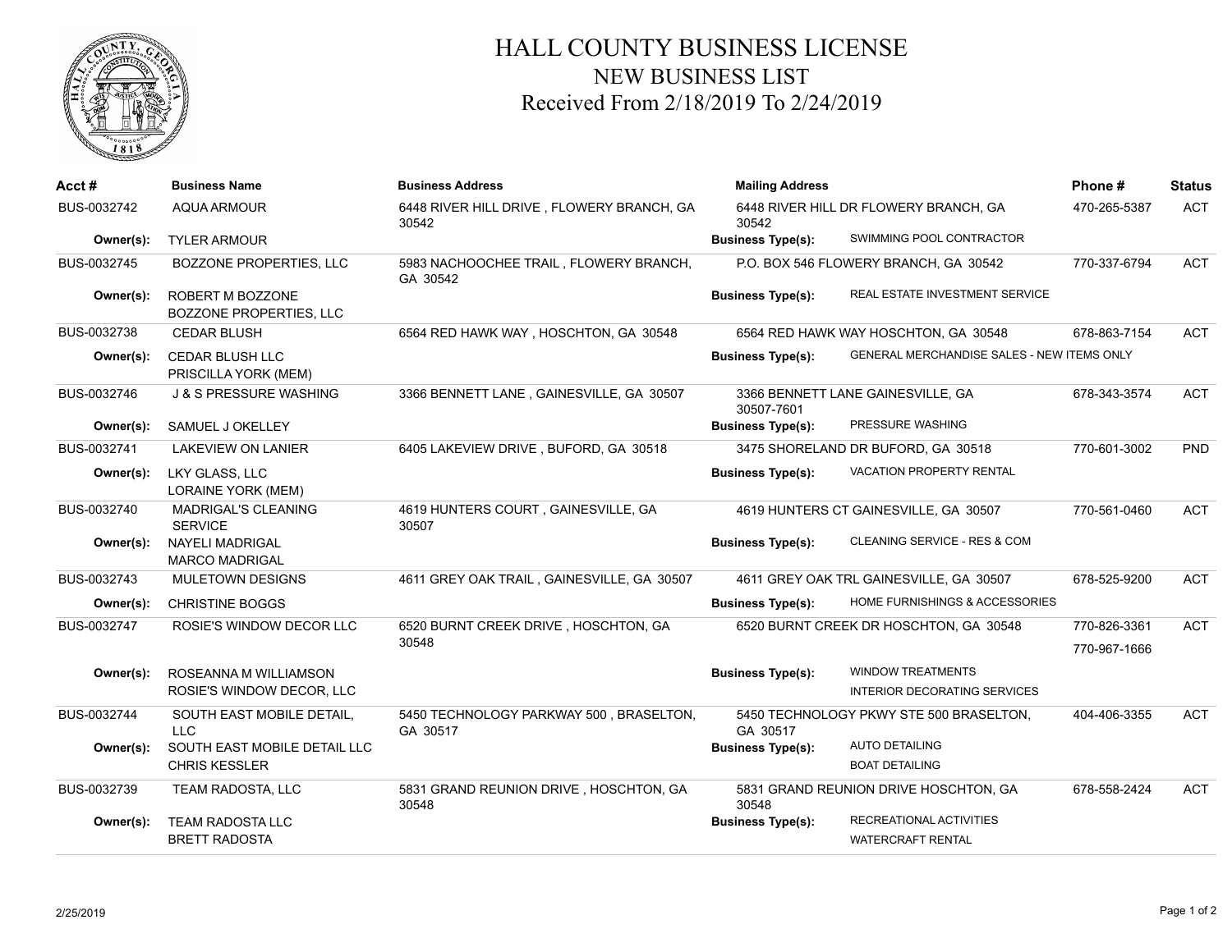

## HALL COUNTY BUSINESS LICENSE NEW BUSINESS LIST Received From 2/18/2019 To 2/24/2019

| Acct#       | <b>Business Name</b>                                 | <b>Business Address</b>                             | <b>Mailing Address</b>   | Phone #                                                  | <b>Status</b> |            |
|-------------|------------------------------------------------------|-----------------------------------------------------|--------------------------|----------------------------------------------------------|---------------|------------|
| BUS-0032742 | <b>AQUA ARMOUR</b>                                   | 6448 RIVER HILL DRIVE, FLOWERY BRANCH, GA<br>30542  | 30542                    | 6448 RIVER HILL DR FLOWERY BRANCH, GA                    | 470-265-5387  | <b>ACT</b> |
| Owner(s):   | <b>TYLER ARMOUR</b>                                  |                                                     | <b>Business Type(s):</b> | SWIMMING POOL CONTRACTOR                                 |               |            |
| BUS-0032745 | BOZZONE PROPERTIES, LLC                              | 5983 NACHOOCHEE TRAIL, FLOWERY BRANCH,<br>GA 30542  |                          | P.O. BOX 546 FLOWERY BRANCH, GA 30542                    | 770-337-6794  | <b>ACT</b> |
| Owner(s):   | ROBERT M BOZZONE<br><b>BOZZONE PROPERTIES, LLC</b>   |                                                     | <b>Business Type(s):</b> | REAL ESTATE INVESTMENT SERVICE                           |               |            |
| BUS-0032738 | <b>CEDAR BLUSH</b>                                   | 6564 RED HAWK WAY, HOSCHTON, GA 30548               |                          | 6564 RED HAWK WAY HOSCHTON, GA 30548                     | 678-863-7154  | <b>ACT</b> |
| Owner(s):   | <b>CEDAR BLUSH LLC</b><br>PRISCILLA YORK (MEM)       |                                                     | <b>Business Type(s):</b> | GENERAL MERCHANDISE SALES - NEW ITEMS ONLY               |               |            |
| BUS-0032746 | <b>J &amp; S PRESSURE WASHING</b>                    | 3366 BENNETT LANE, GAINESVILLE, GA 30507            | 30507-7601               | 3366 BENNETT LANE GAINESVILLE, GA                        | 678-343-3574  | <b>ACT</b> |
| Owner(s):   | SAMUEL J OKELLEY                                     |                                                     | <b>Business Type(s):</b> | PRESSURE WASHING                                         |               |            |
| BUS-0032741 | <b>LAKEVIEW ON LANIER</b>                            | 6405 LAKEVIEW DRIVE, BUFORD, GA 30518               |                          | 3475 SHORELAND DR BUFORD, GA 30518                       | 770-601-3002  | <b>PND</b> |
| Owner(s):   | LKY GLASS, LLC<br><b>LORAINE YORK (MEM)</b>          |                                                     | <b>Business Type(s):</b> | VACATION PROPERTY RENTAL                                 |               |            |
| BUS-0032740 | MADRIGAL'S CLEANING<br><b>SERVICE</b>                | 4619 HUNTERS COURT, GAINESVILLE, GA<br>30507        |                          | 4619 HUNTERS CT GAINESVILLE, GA 30507                    | 770-561-0460  | <b>ACT</b> |
| Owner(s):   | NAYELI MADRIGAL<br><b>MARCO MADRIGAL</b>             |                                                     | <b>Business Type(s):</b> | CLEANING SERVICE - RES & COM                             |               |            |
| BUS-0032743 | <b>MULETOWN DESIGNS</b>                              | 4611 GREY OAK TRAIL, GAINESVILLE, GA 30507          |                          | 4611 GREY OAK TRL GAINESVILLE, GA 30507                  | 678-525-9200  | <b>ACT</b> |
| Owner(s):   | <b>CHRISTINE BOGGS</b>                               |                                                     | <b>Business Type(s):</b> | HOME FURNISHINGS & ACCESSORIES                           |               |            |
| BUS-0032747 | ROSIE'S WINDOW DECOR LLC                             | 6520 BURNT CREEK DRIVE, HOSCHTON, GA                |                          | 6520 BURNT CREEK DR HOSCHTON, GA 30548                   | 770-826-3361  | <b>ACT</b> |
|             |                                                      | 30548                                               |                          |                                                          | 770-967-1666  |            |
| Owner(s):   | ROSEANNA M WILLIAMSON<br>ROSIE'S WINDOW DECOR, LLC   |                                                     | <b>Business Type(s):</b> | <b>WINDOW TREATMENTS</b><br>INTERIOR DECORATING SERVICES |               |            |
| BUS-0032744 | SOUTH EAST MOBILE DETAIL,<br>LLC                     | 5450 TECHNOLOGY PARKWAY 500, BRASELTON,<br>GA 30517 | GA 30517                 | 5450 TECHNOLOGY PKWY STE 500 BRASELTON,                  | 404-406-3355  | <b>ACT</b> |
| Owner(s):   | SOUTH EAST MOBILE DETAIL LLC<br><b>CHRIS KESSLER</b> |                                                     | <b>Business Type(s):</b> | <b>AUTO DETAILING</b><br><b>BOAT DETAILING</b>           |               |            |
| BUS-0032739 | TEAM RADOSTA, LLC                                    | 5831 GRAND REUNION DRIVE, HOSCHTON, GA<br>30548     | 30548                    | 5831 GRAND REUNION DRIVE HOSCHTON, GA                    | 678-558-2424  | <b>ACT</b> |
| Owner(s):   | <b>TEAM RADOSTA LLC</b><br><b>BRETT RADOSTA</b>      |                                                     | <b>Business Type(s):</b> | RECREATIONAL ACTIVITIES<br><b>WATERCRAFT RENTAL</b>      |               |            |